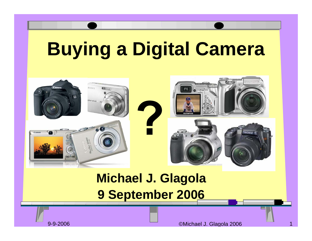## **Buying a Digital Camera**



#### **Michael J. Glagola 9 September 2006**

9-9-2006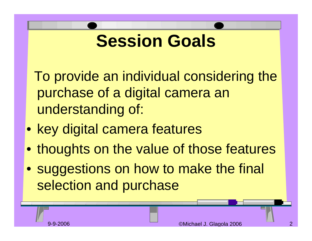### **Session Goals**

To provide an individual considering the purchase of a digital camera an understanding of:

- key digital camera features
- thoughts on the value of those features
- suggestions on how to make the final selection and purchase

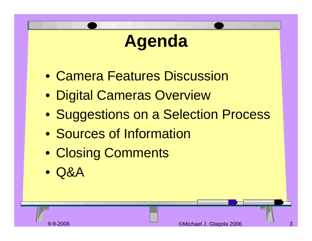#### **Agenda**

- Camera Features Discussion
- Digital Cameras Overview
- Suggestions on a Selection Process
- Sources of Information
- Closing Comments
- Q&A

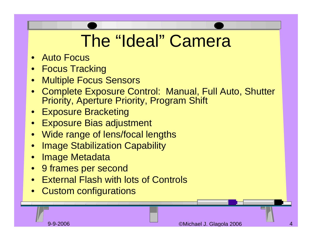### The "Ideal" Camera

- Auto Focus
- •Focus Tracking
- $\bullet$ Multiple Focus Sensors
- • Complete Exposure Control: Manual, Full Auto, Shutter Priority, Aperture Priority, Program Shift
- Exposure Bracketing
- Exposure Bias adjustment
- Wide range of lens/focal lengths
- •Image Stabilization Capability
- •Image Metadata
- 9 frames per second
- •**External Flash with lots of Controls**
- Custom configurations

9-9-2006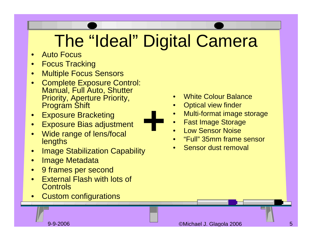## The "Ideal" Digital Camera

**+**

- •Auto Focus
- $\bullet$ Focus Tracking
- $\bullet$ Multiple Focus Sensors
- $\bullet$ • Complete Exposure Control: Manual, Full Auto, Shutter Priority, Aperture Priority, Program Shift
- •Exposure Bracketing
- •Exposure Bias adjustment
- • Wide range of lens/focal **lengths**
- •Image Stabilization Capability
- •Image Metadata
- •9 frames per second
- • External Flash with lots of **Controls**
- •Custom configurations



- •Optical view finder
- •Multi-format image storage
- •Fast Image Storage
- •Low Sensor Noise
- •"Full" 35mm frame sensor
- •Sensor dust removal

9-9-2006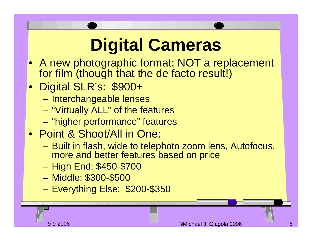# **Digital Cameras**

- A new photographic format; NOT a replacement for film (though that the de facto result!)
- Digital SLR's: \$900+
	- **Harry Committee** – Interchangeable lenses
	- "Virtually ALL" of the features
	- "higher performance" features
- Point & Shoot/All in One:
	- – Built in flash, wide to telephoto zoom lens, Autofocus, more and better features based on price
	- –– High End: \$450-\$700
	- and the state of the state Middle: \$300-\$500
	- **Harry Committee** Everything Else: \$200-\$350

9-9-2006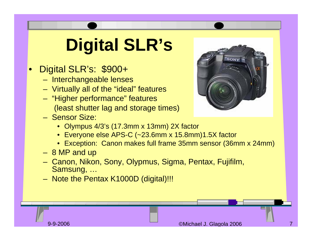## **Digital SLR's**

#### •Digital SLR's: \$900+

- Interchangeable lenses
- Virtually all of the "ideal" features
- "Higher performance" features (least shutter lag and storage times)
- Sensor Size:
	- Olympus 4/3's (17.3mm x 13mm) 2X factor
	- Everyone else APS-C (~23.6mm x 15.8mm)1.5X factor
	- Exception: Canon makes full frame 35mm sensor (36mm x 24mm)
- 8 MP and up
- Canon, Nikon, Sony, Olypmus, Sigma, Pentax, Fujifilm, Samsung, …
- Note the Pentax K1000D (digital)!!!



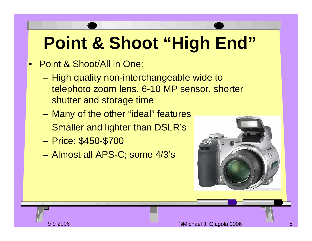# **Point & Shoot "High End"**

#### •Point & Shoot/All in One:

- **Harry Committee** – High quality non-interchangeable wide to telephoto zoom lens, 6-10 MP sensor, shorter shutter and storage time
- and the state of the state Many of the other "ideal" features
- and the state of the state – Smaller and lighter than DSLR's
- and the state of the state Price: \$450-\$700
- and the state of the state Almost all APS-C; some 4/3's



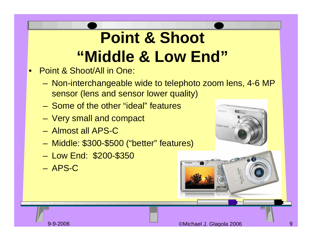#### **Point & Shoot "Middle & Low End"**

- • Point & Shoot/All in One:
	- and the state of the state Non-interchangeable wide to telephoto zoom lens, 4-6 MP sensor (lens and sensor lower quality)
	- Some of the other "ideal" features
	- and the state of the state Very small and compact
	- Almost all APS-C
	- –Middle: \$300-\$500 ("better" features)
	- Low End: \$200-\$350
	- APS-C



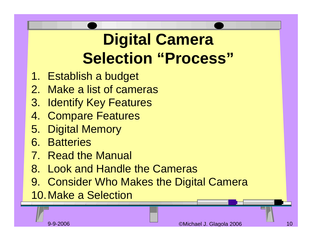#### **Digital Camera Selection "Process"**

- 1. Establish a budget
- 2. Make a list of cameras
- 3. Identify Key Features
- 4. Compare Features
- 5. Digital Memory
- 6. Batteries
- 7. Read the Manual
- 8. Look and Handle the Cameras
- 9. Consider Who Makes the Digital Camera

10.Make a Selection

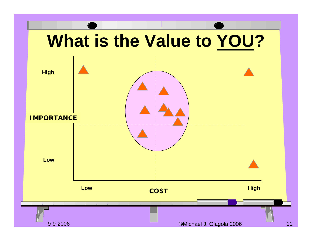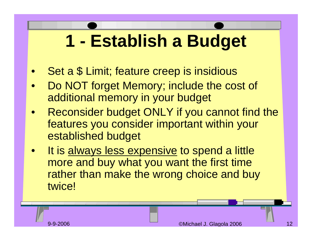## **1 - Establish a Budget**

- $\bullet$ Set a \$ Limit; feature creep is insidious
- • Do NOT forget Memory; include the cost of additional memory in your budget
- $\bullet$  Reconsider budget ONLY if you cannot find the features you consider important within your established budget
- $\bullet$ It is always less expensive to spend a little more and buy what you want the first time rather than make the wrong choice and buy twice!

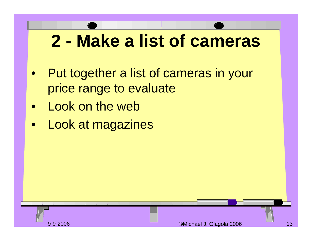### **2 - Make a list of cameras**

- $\bullet$  Put together a list of cameras in your price range to evaluate
- $\bullet$ Look on the web
- $\bullet$ Look at magazines

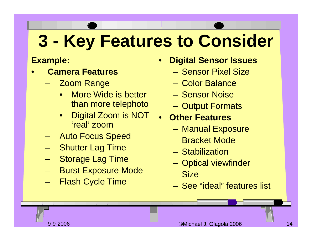## **3 - Key Features to Consider**

#### **Example:**

- • **Camera Features**
	- **Links of the Company** – Zoom Range
		- • More Wide is better than more telephoto
		- • Digital Zoom is NOT 'real' zoom
	- and the state of the state Auto Focus Speed
	- **Links of the Company** Shutter Lag Time
	- and the state of the state Storage Lag Time
	- and the state of the state Burst Exposure Mode
	- –Flash Cycle Time
- • **Digital Sensor Issues**
	- Sensor Pixel Size
	- Color Balance
	- Sensor Noise
	- Output Formats
- • **Other Features**
	- Manual Exposure
	- Bracket Mode
	- Stabilization
	- and the state of the state – Optical viewfinder
	- Size
	- See "ideal" features list

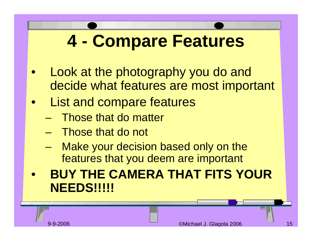### **4 - Compare Features**

- $\bullet$  Look at the photography you do and decide what features are most important
- List and compare features
	- and the state of the state Those that do matter
	- and the state of the state Those that do not
	- – Make your decision based only on the features that you deem are important
- $\bullet$  **BUY THE CAMERA THAT FITS YOUR NEEDS!!!!!**

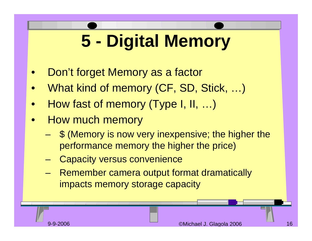# **5 - Digital Memory**

- •Don't forget Memory as a factor
- $\bullet$ What kind of memory (CF, SD, Stick, …)
- •How fast of memory (Type I, II, …)
- • How much memory
	- **Harry Committee**  \$ (Memory is now very inexpensive; the higher the performance memory the higher the price)
	- –Capacity versus convenience
	- – Remember camera output format dramatically impacts memory storage capacity

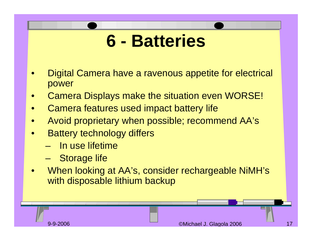#### **6 - Batteries**

- • Digital Camera have a ravenous appetite for electrical power
- $\bullet$ Camera Displays make the situation even WORSE!
- •Camera features used impact battery life
- $\bullet$ Avoid proprietary when possible; recommend AA's
- $\bullet$  Battery technology differs
	- In use lifetime
	- and the state of the state Storage life
- • When looking at AA's, consider rechargeable NiMH's with disposable lithium backup

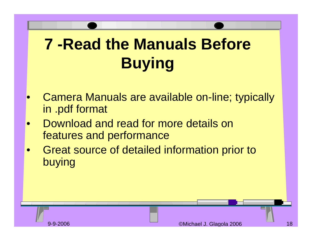### **7 -Read the Manuals Before Buying**

- $\bullet$  Camera Manuals are available on-line; typically in .pdf format
- • Download and read for more details on features and performance
- • Great source of detailed information prior to buying

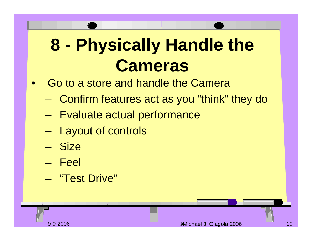## **8 - Physically Handle the Cameras**

- $\bullet$  Go to a store and handle the Camera
	- –Confirm features act as you "think" they do
	- and the state of the state – Evaluate actual performance
	- and the state of the state – Layout of controls
	- Size
	- Feel
	- –"Test Drive"

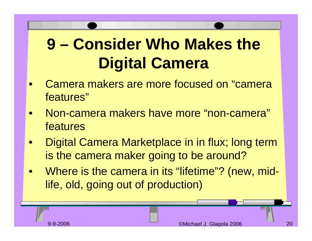#### **9 – Consider Who Makes the Digital Camera**

- • Camera makers are more focused on "camera features"
- • Non-camera makers have more "non-camera" features
- • Digital Camera Marketplace in in flux; long term is the camera maker going to be around?
- $\bullet$ Where is the camera in its "lifetime"? (new, midlife, old, going out of production)

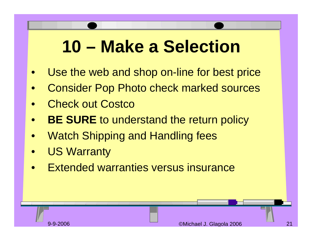### **10 – Make a Selection**

- •Use the web and shop on-line for best price
- $\bullet$ Consider Pop Photo check marked sources
- •Check out Costco
- •**BE SURE** to understand the return policy
- •Watch Shipping and Handling fees
- •US Warranty
- •Extended warranties versus insurance

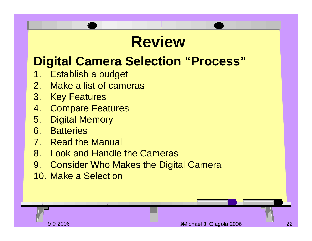#### **Review**

#### **Digital Camera Selection "Process"**

- 1. Establish a budget
- 2.Make a list of cameras
- 3. Key Features
- 4.Compare Features
- 5. Digital Memory
- 6. Batteries
- 7. Read the Manual
- 8. Look and Handle the Cameras
- 9. Consider Who Makes the Digital Camera
- 10. Make a Selection

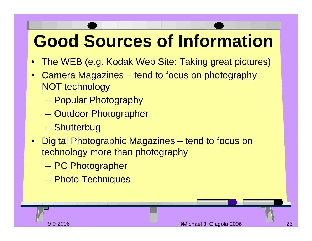## **Good Sources of Information**

- $\bullet$ The WEB (e.g. Kodak Web Site: Taking great pictures)
- • Camera Magazines – tend to focus on photography NOT technology
	- –Popular Photography
	- –– Outdoor Photographer
	- –– Shutterbug
- Digital Photographic Magazines tend to focus on technology more than photography
	- and the state of the state PC Photographer
	- and the state of the state – Photo Techniques

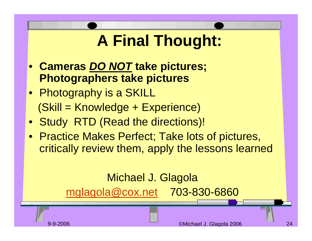#### **A Final Thought:**

- **Cameras** *DO NOT* **take pictures; Photographers take pictures**
- Photography is a SKILL (Skill = Knowledge + Experience)
- Study RTD (Read the directions)!
- Practice Makes Perfect; Take lots of pictures, critically review them, apply the lessons learned